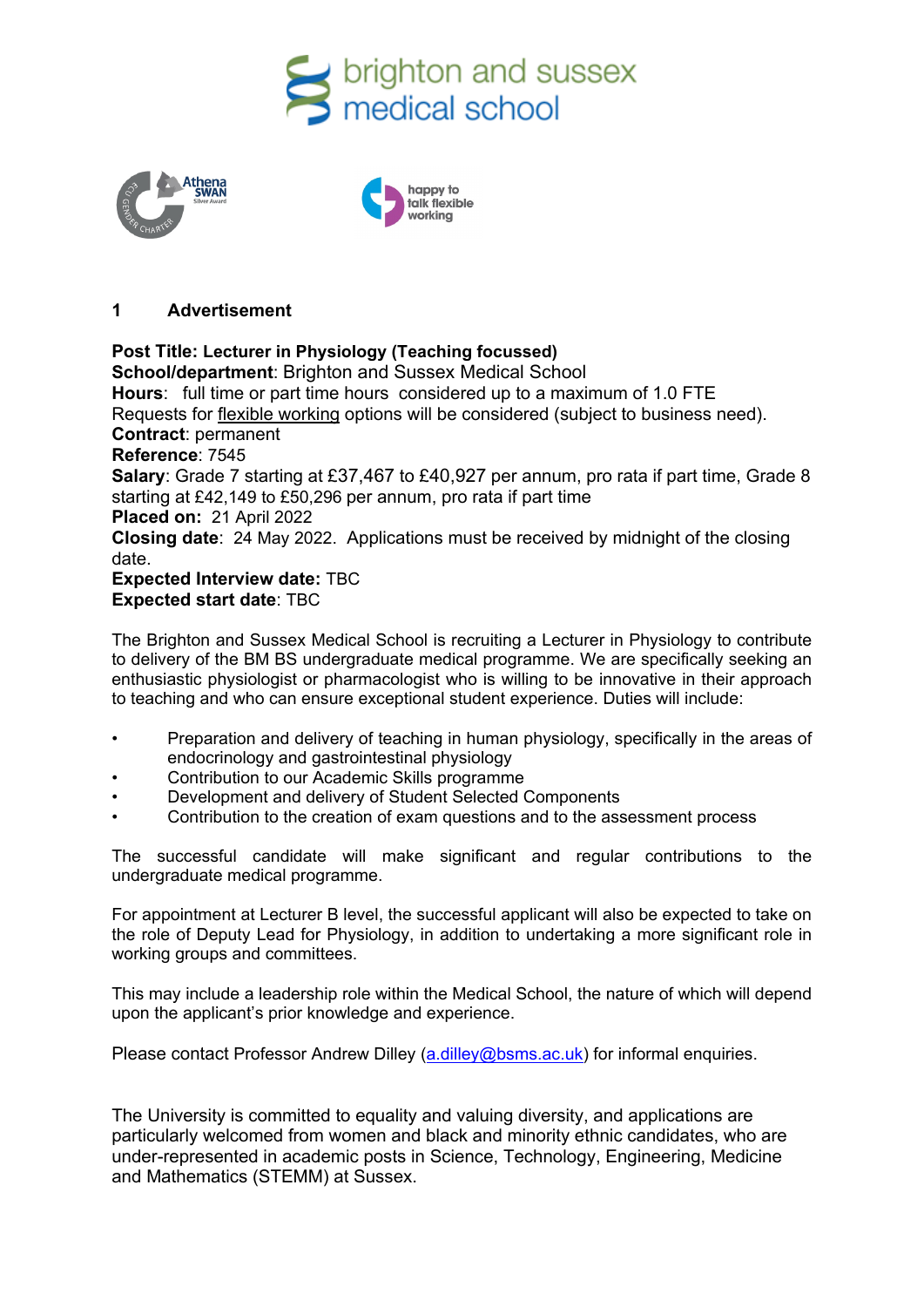





# **1 Advertisement**

# **Post Title: Lecturer in Physiology (Teaching focussed)**

**School/department**: Brighton and Sussex Medical School **Hours**: full time or part time hours considered up to a maximum of 1.0 FTE Requests for [flexible working](http://www.sussex.ac.uk/humanresources/personnel/flexible-working) options will be considered (subject to business need). **Contract**: permanent **Reference**: 7545 **Salary**: Grade 7 starting at £37,467 to £40,927 per annum, pro rata if part time, Grade 8 starting at £42,149 to £50,296 per annum, pro rata if part time **Placed on:** 21 April 2022 **Closing date**: 24 May 2022. Applications must be received by midnight of the closing date. **Expected Interview date:** TBC **Expected start date**: TBC

The Brighton and Sussex Medical School is recruiting a Lecturer in Physiology to contribute to delivery of the BM BS undergraduate medical programme. We are specifically seeking an enthusiastic physiologist or pharmacologist who is willing to be innovative in their approach to teaching and who can ensure exceptional student experience. Duties will include:

- Preparation and delivery of teaching in human physiology, specifically in the areas of endocrinology and gastrointestinal physiology
- Contribution to our Academic Skills programme
- Development and delivery of Student Selected Components
- Contribution to the creation of exam questions and to the assessment process

The successful candidate will make significant and regular contributions to the undergraduate medical programme.

For appointment at Lecturer B level, the successful applicant will also be expected to take on the role of Deputy Lead for Physiology, in addition to undertaking a more significant role in working groups and committees.

This may include a leadership role within the Medical School, the nature of which will depend upon the applicant's prior knowledge and experience.

Please contact Professor Andrew Dilley [\(a.dilley@bsms.ac.uk\)](mailto:a.dilley@bsms.ac.uk) for informal enquiries.

The University is committed to equality and valuing diversity, and applications are particularly welcomed from women and black and minority ethnic candidates, who are under-represented in academic posts in Science, Technology, Engineering, Medicine and Mathematics (STEMM) at Sussex.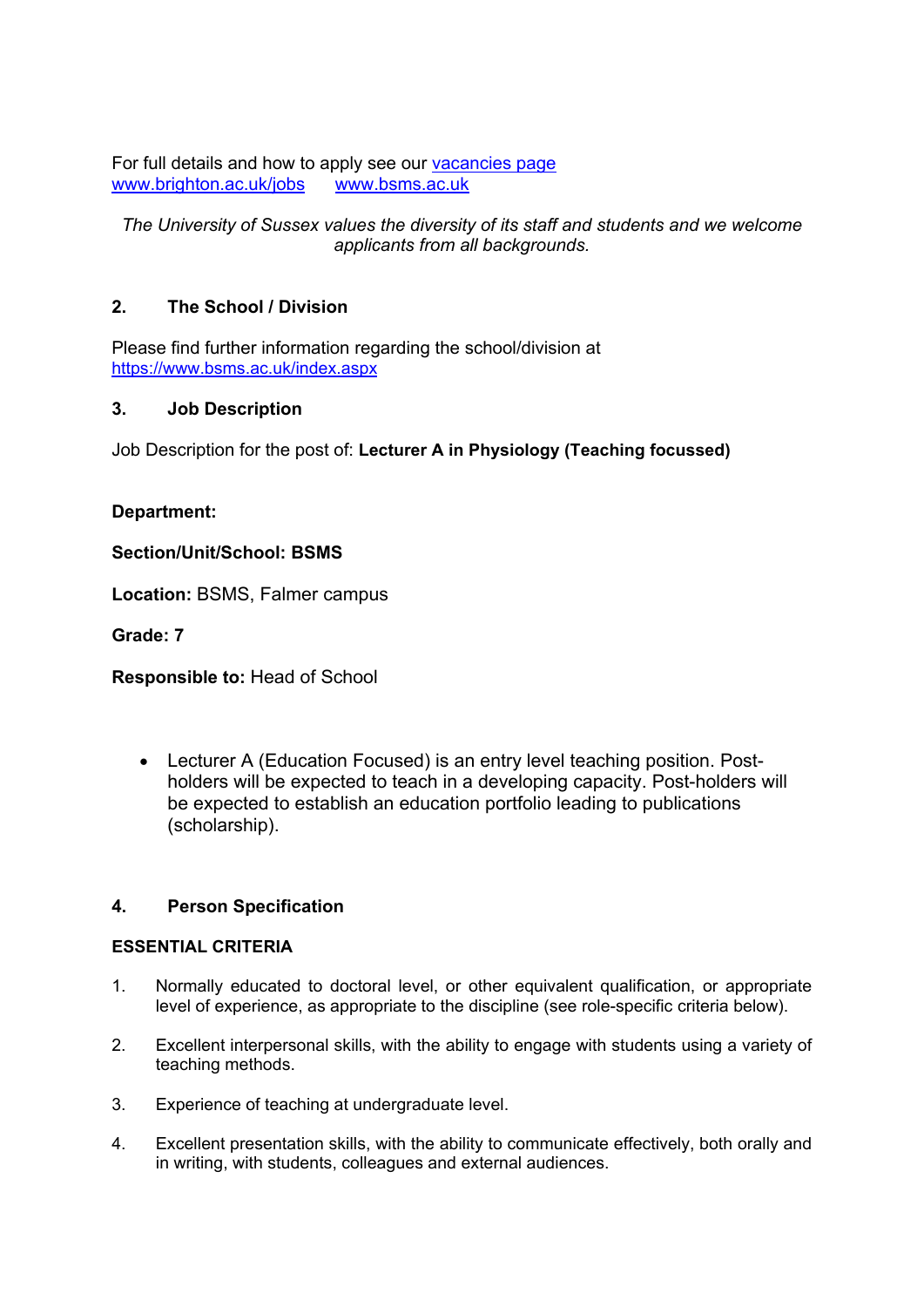For full details and how to apply see our vacancies page<br>www.brighton.ac.uk/iobs www.bsms.ac.uk [www.brighton.ac.uk/jobs](http://www.brighton.ac.uk/jobs)

*The University of Sussex values the diversity of its staff and students and we welcome applicants from all backgrounds.*

# **2. The School / Division**

Please find further information regarding the school/division at <https://www.bsms.ac.uk/index.aspx>

# **3. Job Description**

Job Description for the post of: **Lecturer A in Physiology (Teaching focussed)**

# **Department:**

**Section/Unit/School: BSMS**

**Location:** BSMS, Falmer campus

**Grade: 7**

**Responsible to:** Head of School

• Lecturer A (Education Focused) is an entry level teaching position. Postholders will be expected to teach in a developing capacity. Post-holders will be expected to establish an education portfolio leading to publications (scholarship).

# **4. Person Specification**

#### **ESSENTIAL CRITERIA**

- 1. Normally educated to doctoral level, or other equivalent qualification, or appropriate level of experience, as appropriate to the discipline (see role-specific criteria below).
- 2. Excellent interpersonal skills, with the ability to engage with students using a variety of teaching methods.
- 3. Experience of teaching at undergraduate level.
- 4. Excellent presentation skills, with the ability to communicate effectively, both orally and in writing, with students, colleagues and external audiences.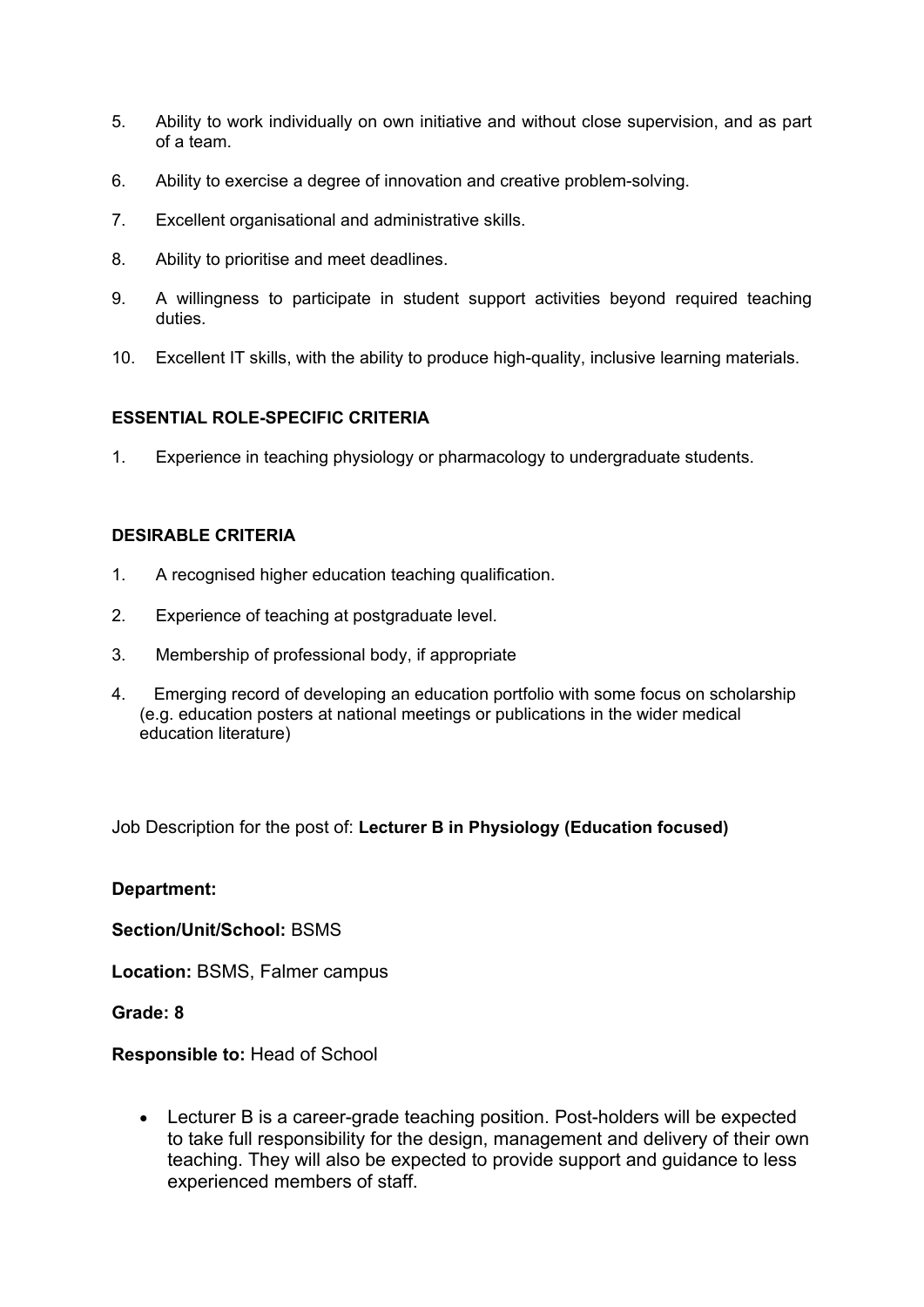- 5. Ability to work individually on own initiative and without close supervision, and as part of a team.
- 6. Ability to exercise a degree of innovation and creative problem-solving.
- 7. Excellent organisational and administrative skills.
- 8. Ability to prioritise and meet deadlines.
- 9. A willingness to participate in student support activities beyond required teaching duties.
- 10. Excellent IT skills, with the ability to produce high-quality, inclusive learning materials.

# **ESSENTIAL ROLE-SPECIFIC CRITERIA**

1. Experience in teaching physiology or pharmacology to undergraduate students.

# **DESIRABLE CRITERIA**

- 1. A recognised higher education teaching qualification.
- 2. Experience of teaching at postgraduate level.
- 3. Membership of professional body, if appropriate
- 4. Emerging record of developing an education portfolio with some focus on scholarship (e.g. education posters at national meetings or publications in the wider medical education literature)

Job Description for the post of: **Lecturer B in Physiology (Education focused)**

# **Department:**

**Section/Unit/School:** BSMS

**Location:** BSMS, Falmer campus

**Grade: 8**

# **Responsible to:** Head of School

• Lecturer B is a career-grade teaching position. Post-holders will be expected to take full responsibility for the design, management and delivery of their own teaching. They will also be expected to provide support and guidance to less experienced members of staff.